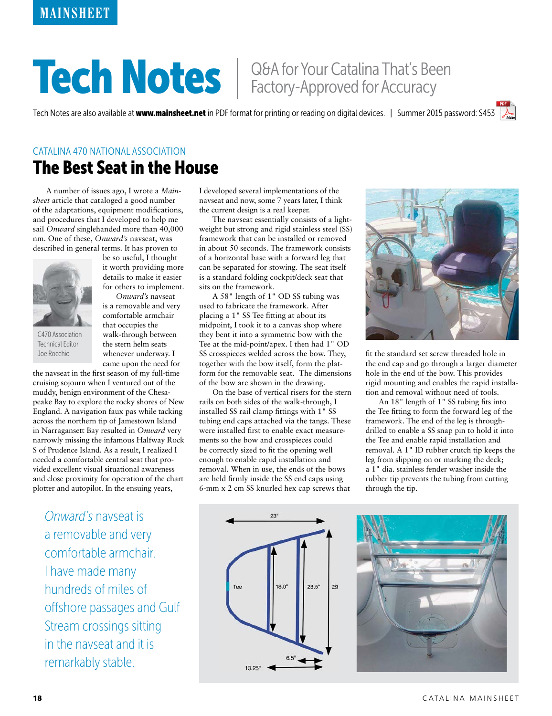# Tech Notes | Q&A for Your Catalina That's Been

Tech Notes are also available at www.mainsheet.net in PDF format for printing or reading on digital devices. | Summer 2015 password: S453

### The Best Seat in the House CATALINA 470 NATIONAL ASSOCIATION

A number of issues ago, I wrote a *Mainsheet* article that cataloged a good number of the adaptations, equipment modifications, and procedures that I developed to help me sail *Onward* singlehanded more than 40,000 nm. One of these, *Onward's* navseat, was described in general terms. It has proven to



C470 Association Technical Editor Joe Rocchio

be so useful, I thought it worth providing more details to make it easier for others to implement. *Onward's* navseat

is a removable and very comfortable armchair that occupies the walk-through between the stern helm seats whenever underway. I came upon the need for

the navseat in the first season of my full-time cruising sojourn when I ventured out of the muddy, benign environment of the Chesapeake Bay to explore the rocky shores of New England. A navigation faux pas while tacking across the northern tip of Jamestown Island in Narragansett Bay resulted in *Onward* very narrowly missing the infamous Halfway Rock S of Prudence Island. As a result, I realized I needed a comfortable central seat that provided excellent visual situational awareness and close proximity for operation of the chart plotter and autopilot. In the ensuing years,

*Onward's* navseat is a removable and very comfortable armchair. I have made many hundreds of miles of offshore passages and Gulf Stream crossings sitting in the navseat and it is remarkably stable.

I developed several implementations of the navseat and now, some 7 years later, I think the current design is a real keeper.

The navseat essentially consists of a lightweight but strong and rigid stainless steel (SS) framework that can be installed or removed in about 50 seconds. The framework consists of a horizontal base with a forward leg that can be separated for stowing. The seat itself is a standard folding cockpit/deck seat that sits on the framework.

A 58" length of 1" OD SS tubing was used to fabricate the framework. After placing a 1" SS Tee fitting at about its midpoint, I took it to a canvas shop where they bent it into a symmetric bow with the Tee at the mid-point/apex. I then had 1" OD SS crosspieces welded across the bow. They, together with the bow itself, form the platform for the removable seat. The dimensions of the bow are shown in the drawing.

On the base of vertical risers for the stern rails on both sides of the walk-through, I installed SS rail clamp fittings with 1" SS tubing end caps attached via the tangs. These were installed first to enable exact measurements so the bow and crosspieces could be correctly sized to fit the opening well enough to enable rapid installation and removal. When in use, the ends of the bows are held firmly inside the SS end caps using 6-mm x 2 cm SS knurled hex cap screws that



fit the standard set screw threaded hole in the end cap and go through a larger diameter hole in the end of the bow. This provides rigid mounting and enables the rapid installation and removal without need of tools.

An 18" length of 1" SS tubing fits into the Tee fitting to form the forward leg of the framework. The end of the leg is throughdrilled to enable a SS snap pin to hold it into the Tee and enable rapid installation and removal. A 1" ID rubber crutch tip keeps the leg from slipping on or marking the deck; a 1" dia. stainless fender washer inside the rubber tip prevents the tubing from cutting through the tip.